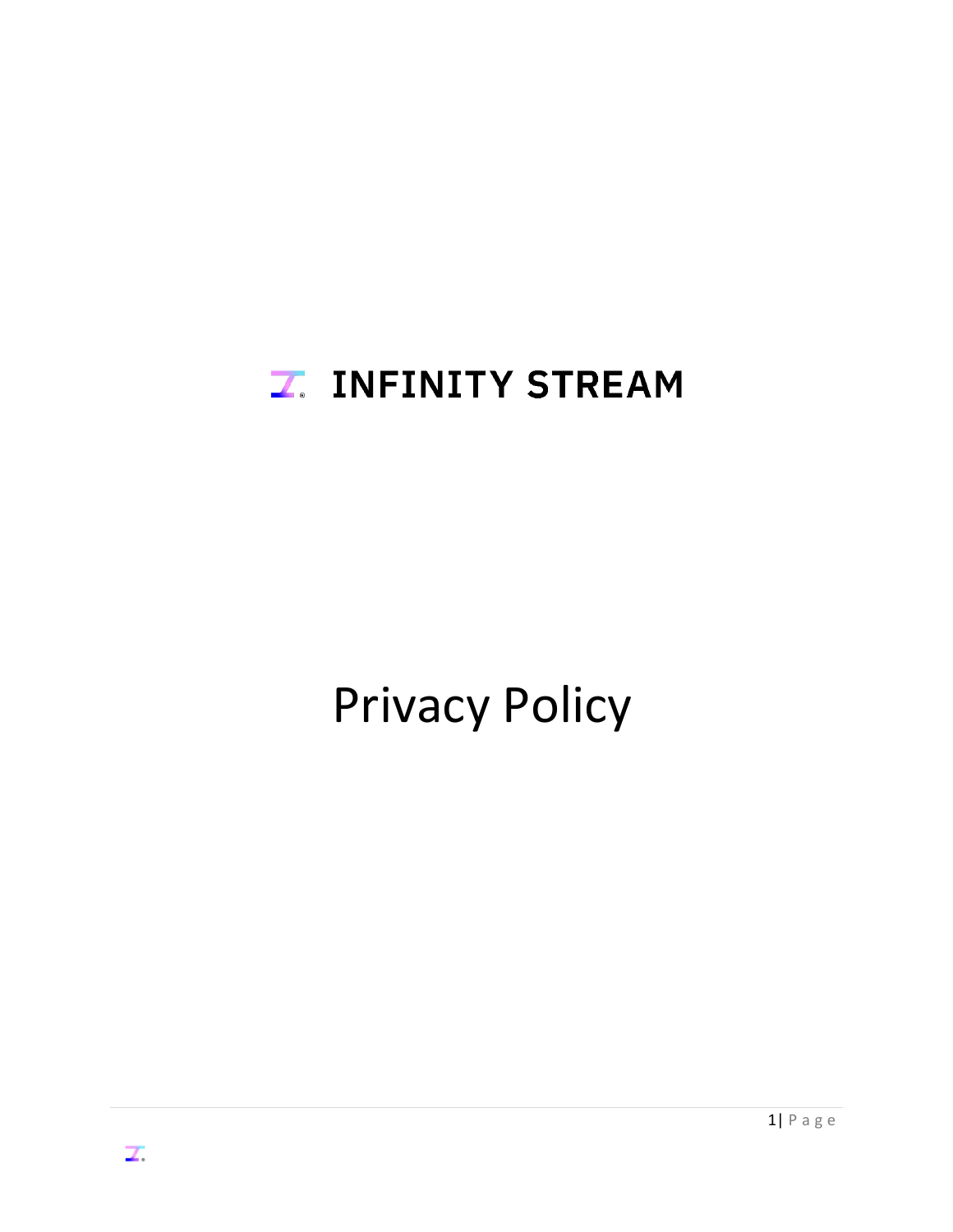# **Z. INFINITY STREAM**

# Privacy Policy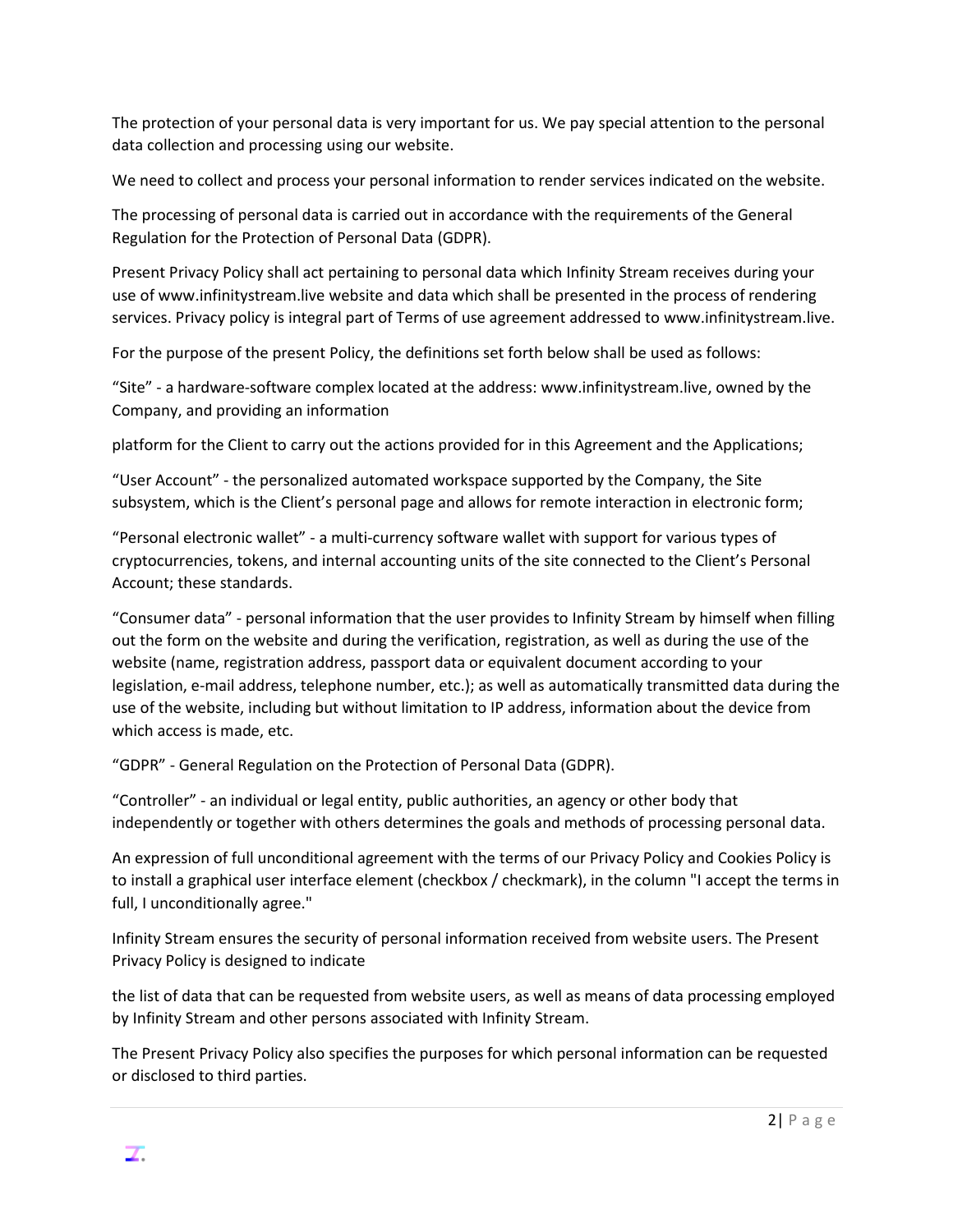The protection of your personal data is very important for us. We pay special attention to the personal data collection and processing using our website.

We need to collect and process your personal information to render services indicated on the website.

The processing of personal data is carried out in accordance with the requirements of the General Regulation for the Protection of Personal Data (GDPR).

Present Privacy Policy shall act pertaining to personal data which Infinity Stream receives during your use of www.infinitystream.live website and data which shall be presented in the process of rendering services. Privacy policy is integral part of Terms of use agreement addressed to www.infinitystream.live.

For the purpose of the present Policy, the definitions set forth below shall be used as follows:

"Site" - a hardware-software complex located at the address: www.infinitystream.live, owned by the Company, and providing an information

platform for the Client to carry out the actions provided for in this Agreement and the Applications;

"User Account" - the personalized automated workspace supported by the Company, the Site subsystem, which is the Client's personal page and allows for remote interaction in electronic form;

"Personal electronic wallet" - a multi-currency software wallet with support for various types of cryptocurrencies, tokens, and internal accounting units of the site connected to the Client's Personal Account; these standards.

"Consumer data" - personal information that the user provides to Infinity Stream by himself when filling out the form on the website and during the verification, registration, as well as during the use of the website (name, registration address, passport data or equivalent document according to your legislation, e-mail address, telephone number, etc.); as well as automatically transmitted data during the use of the website, including but without limitation to IP address, information about the device from which access is made, etc.

"GDPR" - General Regulation on the Protection of Personal Data (GDPR).

"Controller" - an individual or legal entity, public authorities, an agency or other body that independently or together with others determines the goals and methods of processing personal data.

An expression of full unconditional agreement with the terms of our Privacy Policy and Cookies Policy is to install a graphical user interface element (checkbox / checkmark), in the column "I accept the terms in full, I unconditionally agree."

Infinity Stream ensures the security of personal information received from website users. The Present Privacy Policy is designed to indicate

the list of data that can be requested from website users, as well as means of data processing employed by Infinity Stream and other persons associated with Infinity Stream.

The Present Privacy Policy also specifies the purposes for which personal information can be requested or disclosed to third parties.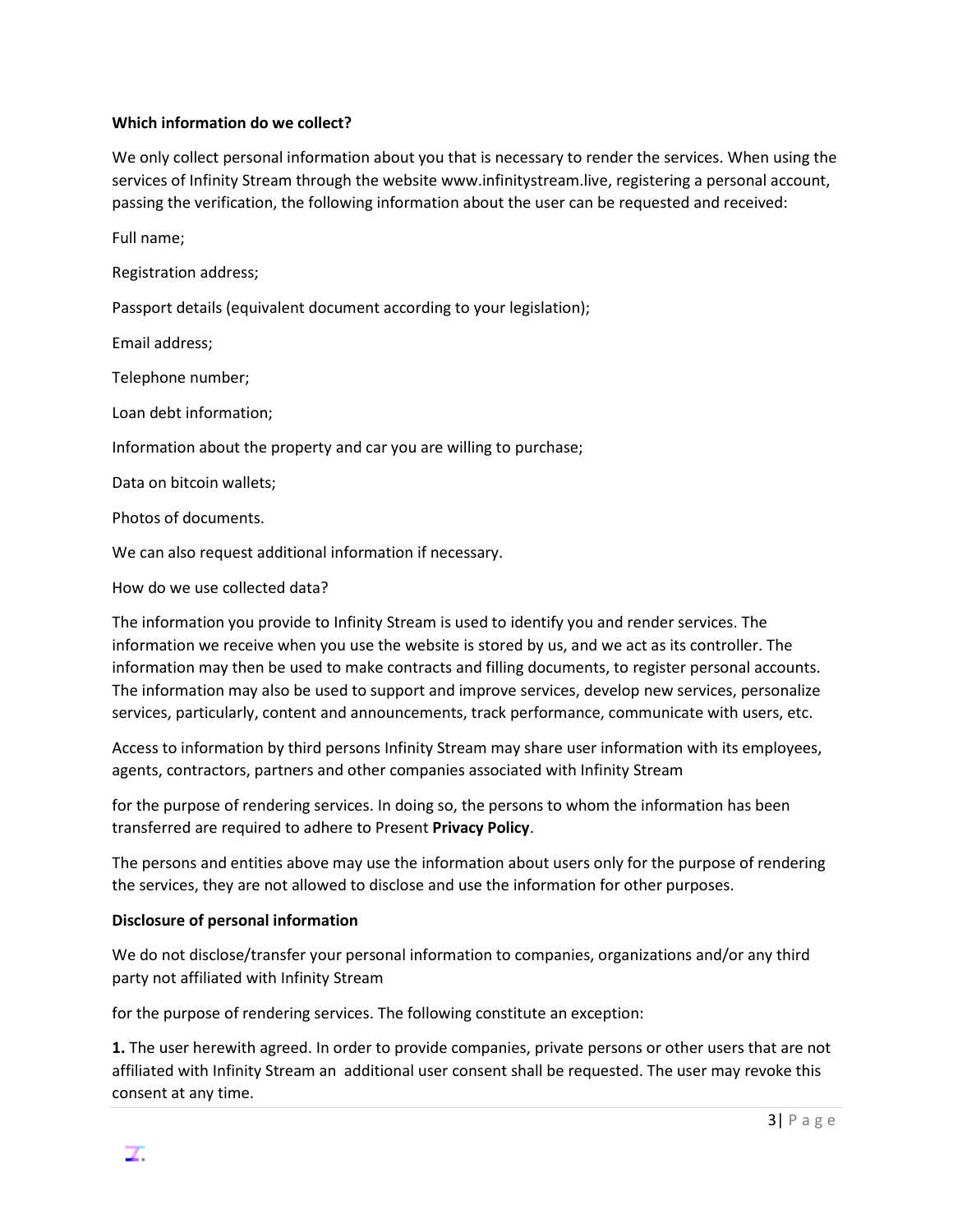#### **Which information do we collect?**

We only collect personal information about you that is necessary to render the services. When using the services of Infinity Stream through the website www.infinitystream.live, registering a personal account, passing the verification, the following information about the user can be requested and received:

Full name;

Registration address;

Passport details (equivalent document according to your legislation);

Email address;

Telephone number;

Loan debt information;

Information about the property and car you are willing to purchase;

Data on bitcoin wallets;

Photos of documents.

We can also request additional information if necessary.

How do we use collected data?

The information you provide to Infinity Stream is used to identify you and render services. The information we receive when you use the website is stored by us, and we act as its controller. The information may then be used to make contracts and filling documents, to register personal accounts. The information may also be used to support and improve services, develop new services, personalize services, particularly, content and announcements, track performance, communicate with users, etc.

Access to information by third persons Infinity Stream may share user information with its employees, agents, contractors, partners and other companies associated with Infinity Stream

for the purpose of rendering services. In doing so, the persons to whom the information has been transferred are required to adhere to Present **Privacy Policy**.

The persons and entities above may use the information about users only for the purpose of rendering the services, they are not allowed to disclose and use the information for other purposes.

#### **Disclosure of personal information**

We do not disclose/transfer your personal information to companies, organizations and/or any third party not affiliated with Infinity Stream

for the purpose of rendering services. The following constitute an exception:

**1.** The user herewith agreed. In order to provide companies, private persons or other users that are not affiliated with Infinity Stream an additional user consent shall be requested. The user may revoke this consent at any time.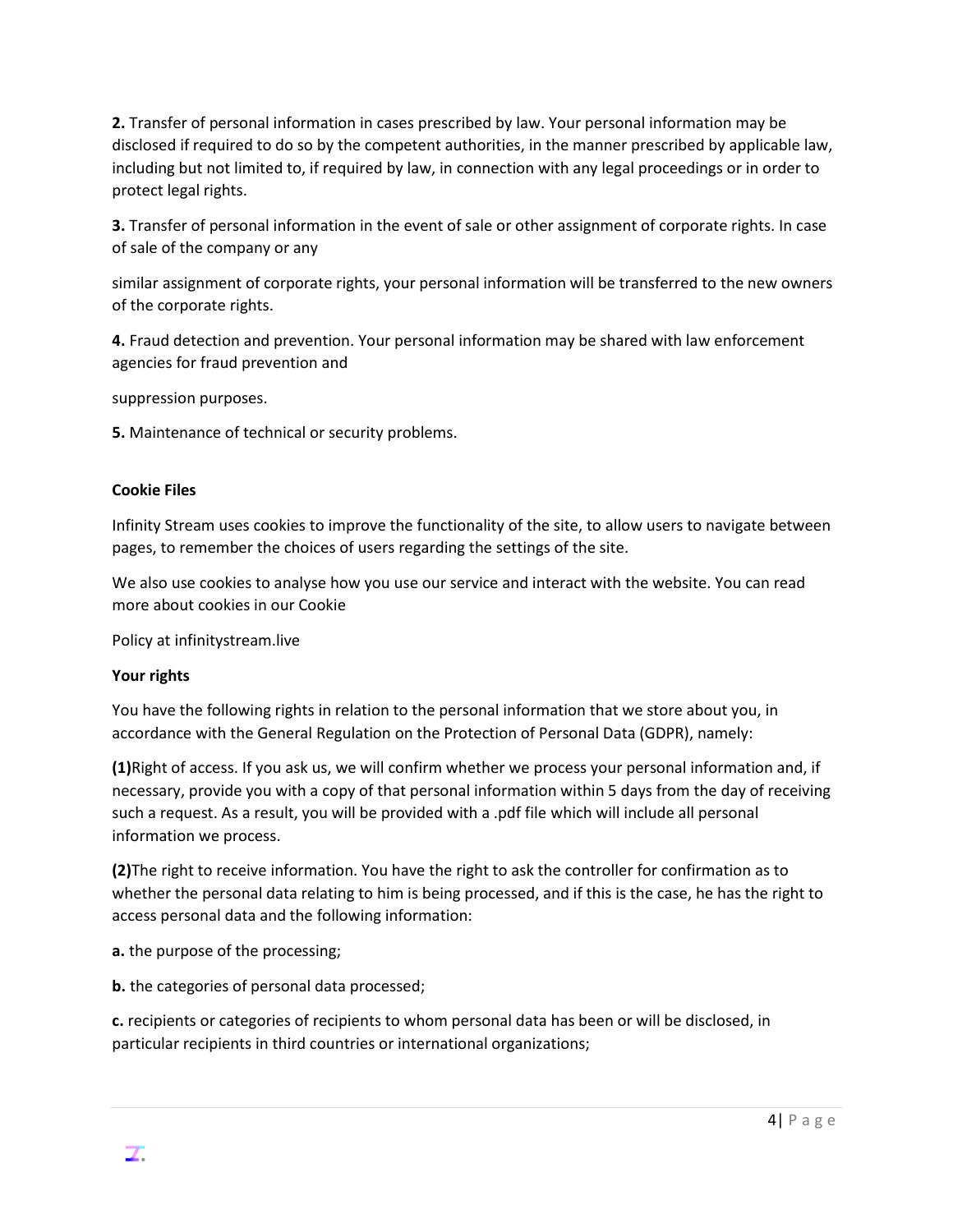**2.** Transfer of personal information in cases prescribed by law. Your personal information may be disclosed if required to do so by the competent authorities, in the manner prescribed by applicable law, including but not limited to, if required by law, in connection with any legal proceedings or in order to protect legal rights.

**3.** Transfer of personal information in the event of sale or other assignment of corporate rights. In case of sale of the company or any

similar assignment of corporate rights, your personal information will be transferred to the new owners of the corporate rights.

**4.** Fraud detection and prevention. Your personal information may be shared with law enforcement agencies for fraud prevention and

suppression purposes.

**5.** Maintenance of technical or security problems.

#### **Cookie Files**

Infinity Stream uses cookies to improve the functionality of the site, to allow users to navigate between pages, to remember the choices of users regarding the settings of the site.

We also use cookies to analyse how you use our service and interact with the website. You can read more about cookies in our Cookie

Policy at infinitystream.live

## **Your rights**

You have the following rights in relation to the personal information that we store about you, in accordance with the General Regulation on the Protection of Personal Data (GDPR), namely:

**(1)**Right of access. If you ask us, we will confirm whether we process your personal information and, if necessary, provide you with a copy of that personal information within 5 days from the day of receiving such a request. As a result, you will be provided with a .pdf file which will include all personal information we process.

**(2)**The right to receive information. You have the right to ask the controller for confirmation as to whether the personal data relating to him is being processed, and if this is the case, he has the right to access personal data and the following information:

**a.** the purpose of the processing;

**b.** the categories of personal data processed;

**c.** recipients or categories of recipients to whom personal data has been or will be disclosed, in particular recipients in third countries or international organizations;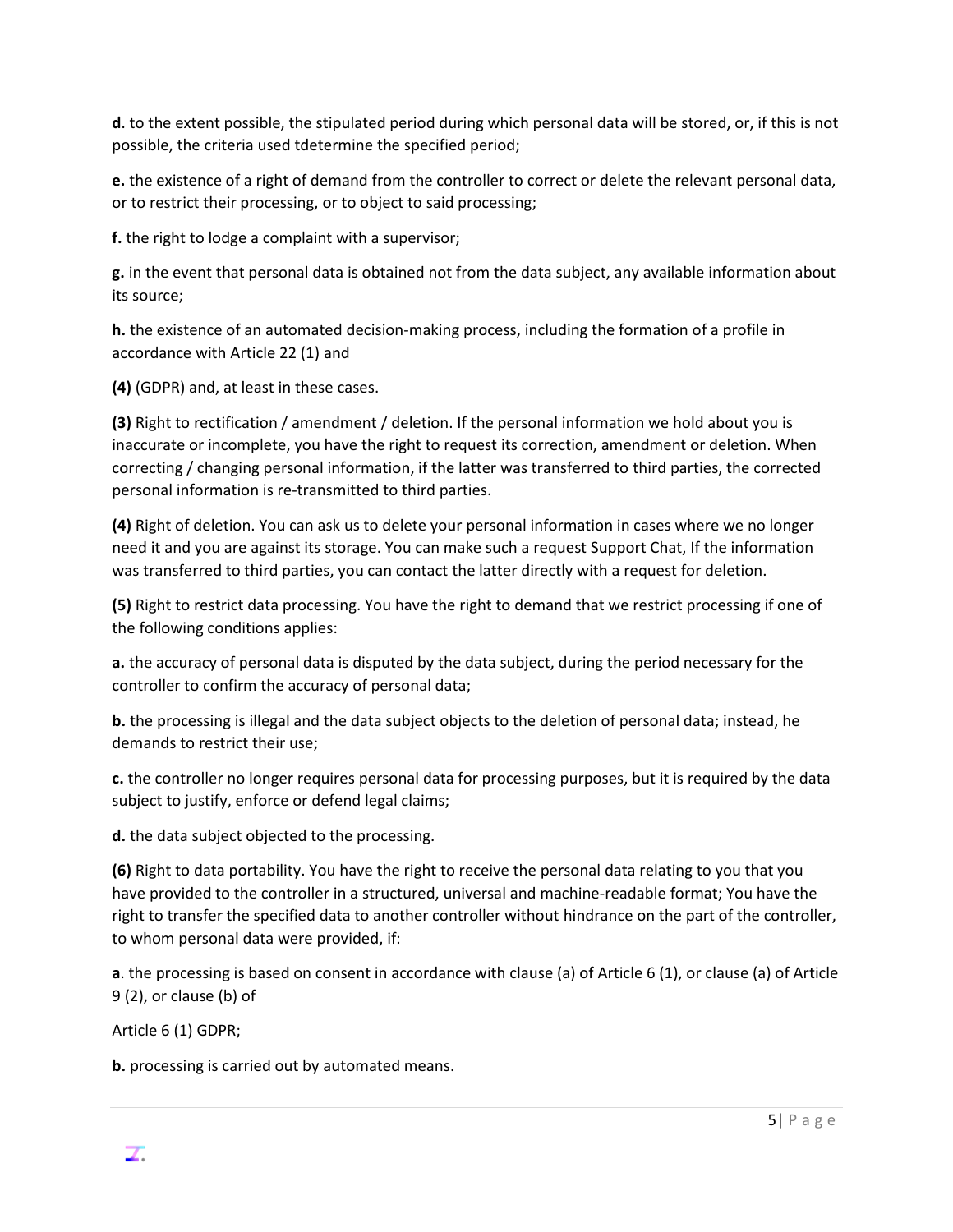**d**. to the extent possible, the stipulated period during which personal data will be stored, or, if this is not possible, the criteria used tdetermine the specified period;

**e.** the existence of a right of demand from the controller to correct or delete the relevant personal data, or to restrict their processing, or to object to said processing;

**f.** the right to lodge a complaint with a supervisor;

**g.** in the event that personal data is obtained not from the data subject, any available information about its source;

**h.** the existence of an automated decision-making process, including the formation of a profile in accordance with Article 22 (1) and

**(4)** (GDPR) and, at least in these cases.

**(3)** Right to rectification / amendment / deletion. If the personal information we hold about you is inaccurate or incomplete, you have the right to request its correction, amendment or deletion. When correcting / changing personal information, if the latter was transferred to third parties, the corrected personal information is re-transmitted to third parties.

**(4)** Right of deletion. You can ask us to delete your personal information in cases where we no longer need it and you are against its storage. You can make such a request Support Chat, If the information was transferred to third parties, you can contact the latter directly with a request for deletion.

**(5)** Right to restrict data processing. You have the right to demand that we restrict processing if one of the following conditions applies:

**a.** the accuracy of personal data is disputed by the data subject, during the period necessary for the controller to confirm the accuracy of personal data;

**b.** the processing is illegal and the data subject objects to the deletion of personal data; instead, he demands to restrict their use;

**c.** the controller no longer requires personal data for processing purposes, but it is required by the data subject to justify, enforce or defend legal claims;

**d.** the data subject objected to the processing.

**(6)** Right to data portability. You have the right to receive the personal data relating to you that you have provided to the controller in a structured, universal and machine-readable format; You have the right to transfer the specified data to another controller without hindrance on the part of the controller, to whom personal data were provided, if:

**a**. the processing is based on consent in accordance with clause (a) of Article 6 (1), or clause (a) of Article 9 (2), or clause (b) of

Article 6 (1) GDPR;

**b.** processing is carried out by automated means.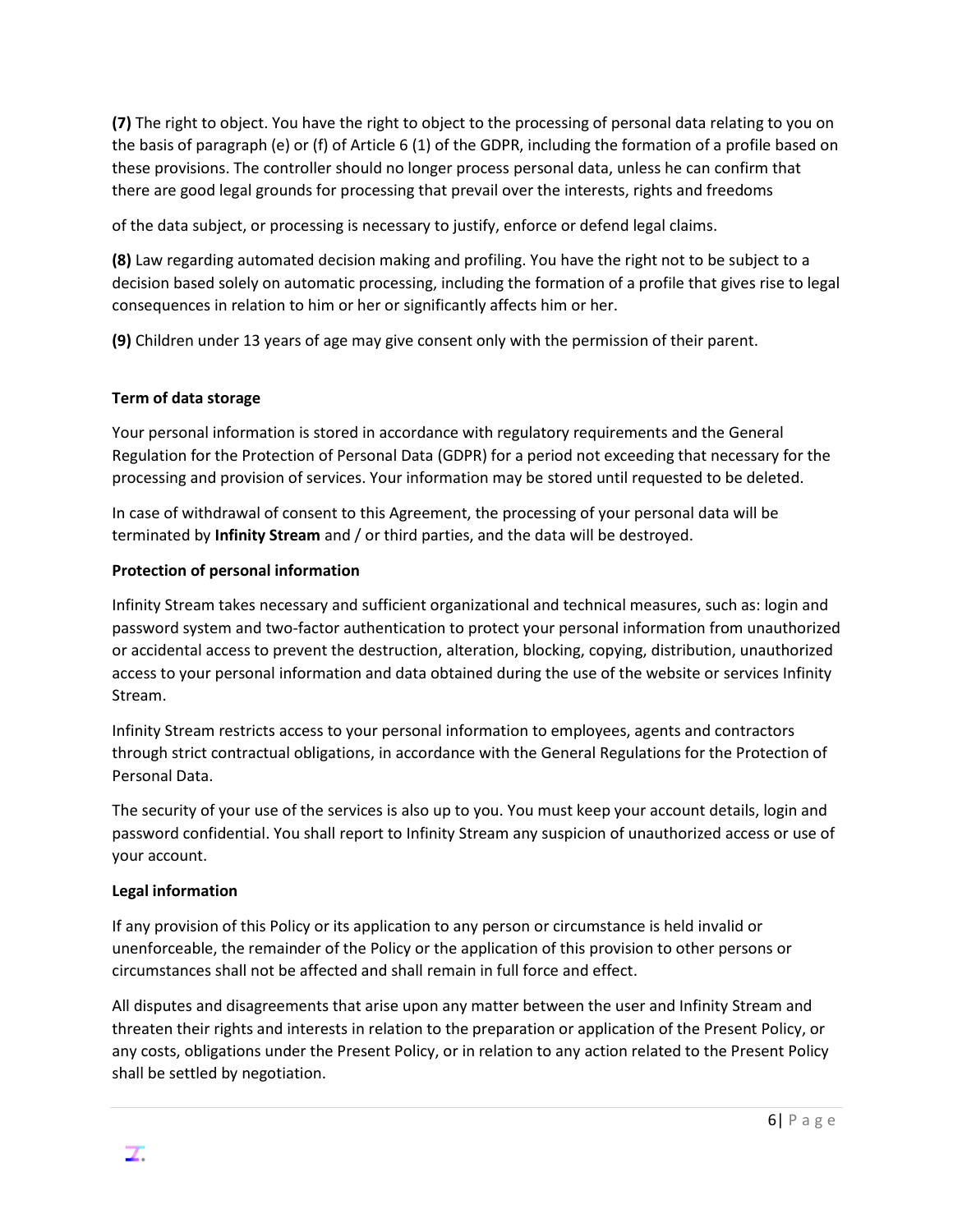**(7)** The right to object. You have the right to object to the processing of personal data relating to you on the basis of paragraph (e) or (f) of Article 6 (1) of the GDPR, including the formation of a profile based on these provisions. The controller should no longer process personal data, unless he can confirm that there are good legal grounds for processing that prevail over the interests, rights and freedoms

of the data subject, or processing is necessary to justify, enforce or defend legal claims.

**(8)** Law regarding automated decision making and profiling. You have the right not to be subject to a decision based solely on automatic processing, including the formation of a profile that gives rise to legal consequences in relation to him or her or significantly affects him or her.

**(9)** Children under 13 years of age may give consent only with the permission of their parent.

### **Term of data storage**

Your personal information is stored in accordance with regulatory requirements and the General Regulation for the Protection of Personal Data (GDPR) for a period not exceeding that necessary for the processing and provision of services. Your information may be stored until requested to be deleted.

In case of withdrawal of consent to this Agreement, the processing of your personal data will be terminated by **Infinity Stream** and / or third parties, and the data will be destroyed.

#### **Protection of personal information**

Infinity Stream takes necessary and sufficient organizational and technical measures, such as: login and password system and two-factor authentication to protect your personal information from unauthorized or accidental access to prevent the destruction, alteration, blocking, copying, distribution, unauthorized access to your personal information and data obtained during the use of the website or services Infinity Stream.

Infinity Stream restricts access to your personal information to employees, agents and contractors through strict contractual obligations, in accordance with the General Regulations for the Protection of Personal Data.

The security of your use of the services is also up to you. You must keep your account details, login and password confidential. You shall report to Infinity Stream any suspicion of unauthorized access or use of your account.

#### **Legal information**

If any provision of this Policy or its application to any person or circumstance is held invalid or unenforceable, the remainder of the Policy or the application of this provision to other persons or circumstances shall not be affected and shall remain in full force and effect.

All disputes and disagreements that arise upon any matter between the user and Infinity Stream and threaten their rights and interests in relation to the preparation or application of the Present Policy, or any costs, obligations under the Present Policy, or in relation to any action related to the Present Policy shall be settled by negotiation.